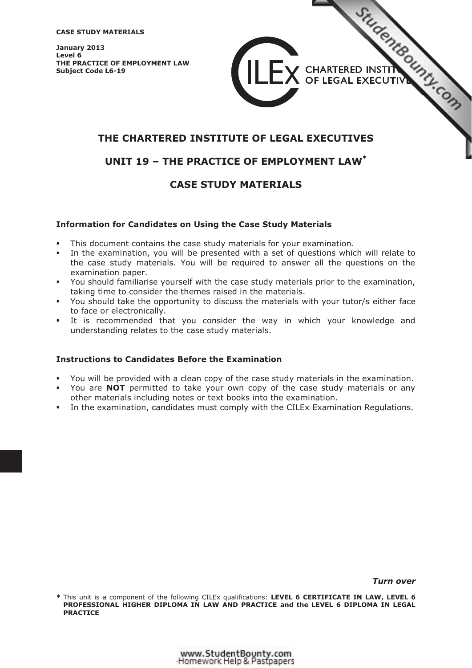**CASE STUDY MATERIALS** 

**January 2013 Level 6 THE PRACTICE OF EMPLOYMENT LAW Subject Code L6-19** 

# **THE CHARTERED INSTITUTE OF LEGAL [EXECUTIVES](http://www.studentbounty.com/)**

# **UNIT 19 – THE PRACTICE OF EMPLOYMENT LAW\***

# **CASE STUDY MATERIALS**

### **Information for Candidates on Using the Case Study Materials**

- -This document contains the case study materials for your examination.
- - In the examination, you will be presented with a set of questions which will relate to the case study materials. You will be required to answer all the questions on the examination paper.
- - You should familiarise yourself with the case study materials prior to the examination, taking time to consider the themes raised in the materials.
- - You should take the opportunity to discuss the materials with your tutor/s either face to face or electronically.
- - It is recommended that you consider the way in which your knowledge and understanding relates to the case study materials.

### **Instructions to Candidates Before the Examination**

- -You will be provided with a clean copy of the case study materials in the examination.
- - You are **NOT** permitted to take your own copy of the case study materials or any other materials including notes or text books into the examination.
- -In the examination, candidates must comply with the CILEx Examination Regulations.

*Turn over* 

STUCENTS OUTS

V CHARTERED INSTIT

OF LEGAL EXECUTIVE

**<sup>\*</sup>** This unit is a component of the following CILEx qualifications: **LEVEL 6 CERTIFICATE IN LAW, LEVEL 6 PROFESSIONAL HIGHER DIPLOMA IN LAW AND PRACTICE and the LEVEL 6 DIPLOMA IN LEGAL PRACTICE**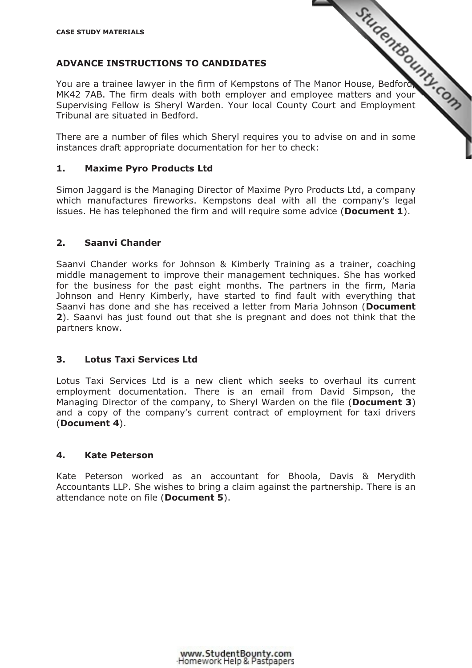# **ADVANCE INSTRUCTIONS TO CANDIDATES**

ADVANCE INSTRUCTIONS TO CANDIDATES<br>You are a trainee lawyer in the firm of Kempstons of The Manor House, Bedford, The firm deals with both employer and employee matters and your MK42 7AB. The firm deals with both employer and employee matters and your Supervising Fellow is Sheryl Warden. Your local County Court and Employment Tribunal are situated in Bedford.

There are a number of files which Sheryl requires you to [advise on and in some](http://www.studentbounty.com/)  instances draft appropriate documentation for her to check:

### **1. Maxime Pyro Products Ltd**

Simon Jaggard is the Managing Director of Maxime Pyro Products Ltd, a company which manufactures fireworks. Kempstons deal with all the company's legal issues. He has telephoned the firm and will require some advice (**Document 1**).

### **2. Saanvi Chander**

Saanvi Chander works for Johnson & Kimberly Training as a trainer, coaching middle management to improve their management techniques. She has worked for the business for the past eight months. The partners in the firm, Maria Johnson and Henry Kimberly, have started to find fault with everything that Saanvi has done and she has received a letter from Maria Johnson (**Document 2**). Saanvi has just found out that she is pregnant and does not think that the partners know.

### **3. Lotus Taxi Services Ltd**

Lotus Taxi Services Ltd is a new client which seeks to overhaul its current employment documentation. There is an email from David Simpson, the Managing Director of the company, to Sheryl Warden on the file (**Document 3**) and a copy of the company's current contract of employment for taxi drivers (**Document 4**).

### **4. Kate Peterson**

Kate Peterson worked as an accountant for Bhoola, Davis & Merydith Accountants LLP. She wishes to bring a claim against the partnership. There is an attendance note on file (**Document 5**).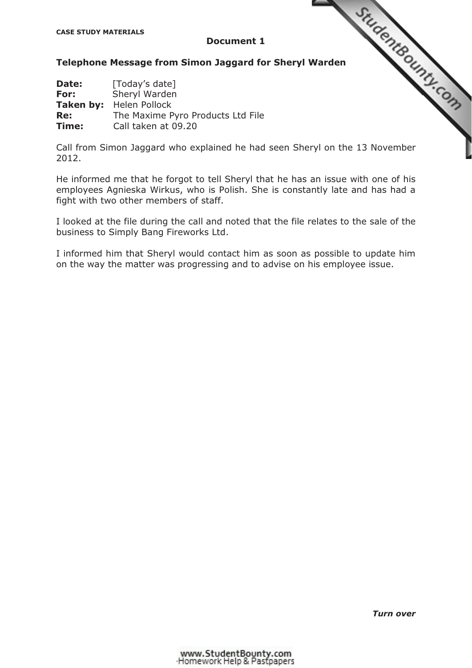### **Document 1**

| <b>CASE STUDY MATERIALS</b>                       | <b>Document 1</b>                                                                                            |  |
|---------------------------------------------------|--------------------------------------------------------------------------------------------------------------|--|
|                                                   | Telephone Message from Simon Jaggard for Sheryl Warden                                                       |  |
| Date:<br>For:<br><b>Taken by:</b><br>Re:<br>Time: | [Today's date]<br>Sheryl Warden<br>Helen Pollock<br>The Maxime Pyro Products Ltd File<br>Call taken at 09.20 |  |

Call from Simon Jaggard who explained he had seen She[ryl on the 13 November](http://www.studentbounty.com/)  2012.

He informed me that he forgot to tell Sheryl that he has an issue with one of his employees Agnieska Wirkus, who is Polish. She is constantly late and has had a fight with two other members of staff.

I looked at the file during the call and noted that the file relates to the sale of the business to Simply Bang Fireworks Ltd.

I informed him that Sheryl would contact him as soon as possible to update him on the way the matter was progressing and to advise on his employee issue.

*Turn over*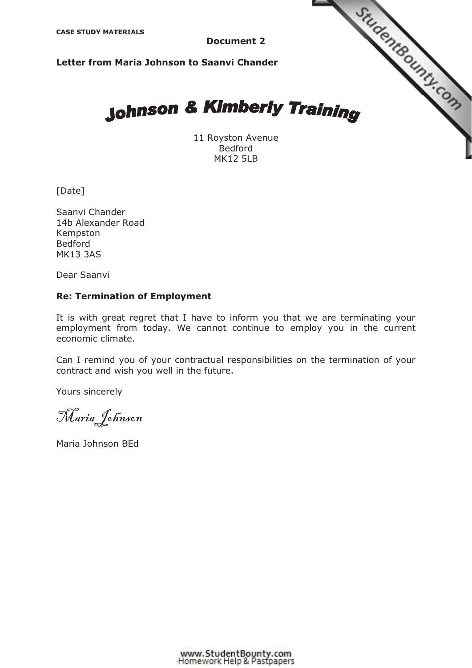**CASE STUDY MATERIALS** 

**Document 2**

**Letter from Maria Johnson to Saanvi Chander**

# Studenteounts.com **Johnson & Kimberly Training**

11 Royston Avenue Bedford MK12 5LB

[Date]

Saanvi Chander 14b Alexander Road Kempston Bedford MK13 3AS

Dear Saanvi

### **Re: Termination of Employment**

It is with great regret that I have to inform you that we are terminating your employment from today. We cannot continue to employ you in the current economic climate.

Can I remind you of your contractual responsibilities on the termination of your contract and wish you well in the future.

Yours sincerely

Maria Johnson

Maria Johnson BEd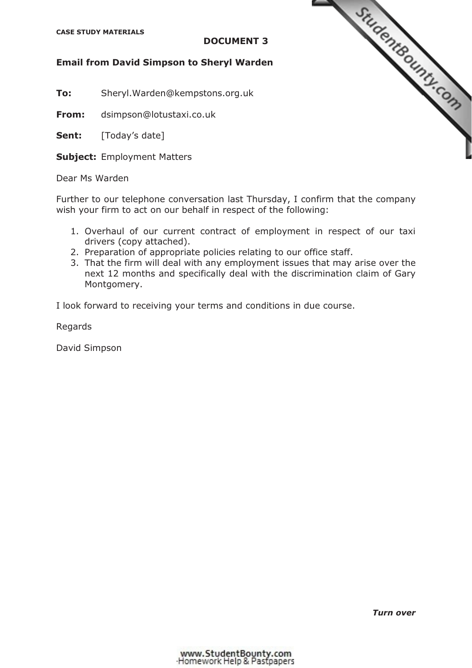### **CASE STUDY MATERIALS**

### **DOCUMENT 3**

### **Email from David Simpson to Sheryl Warden**

**To:** Sheryl.Warden@kempstons.org.uk

**From:** dsimpson@lotustaxi.co.uk

Sent: [Today's date]

**Subject:** Employment Matters

Dear Ms Warden

Further to our telephone conversation last Thursday, I confirm that the company wish your firm to act on our behalf in respect of the following:

- 1. Overhaul of our current contract of employment in respect of our taxi drivers (copy attached).
- 2. Preparation of appropriate policies relating to our office staff.
- 3. That the firm will deal with any employment issues that may arise over the next 12 months and specifically deal with the discrimination claim of Gary Montgomery.

I look forward to receiving your terms and conditions in due course.

Regards

David Simpson



*Turn over*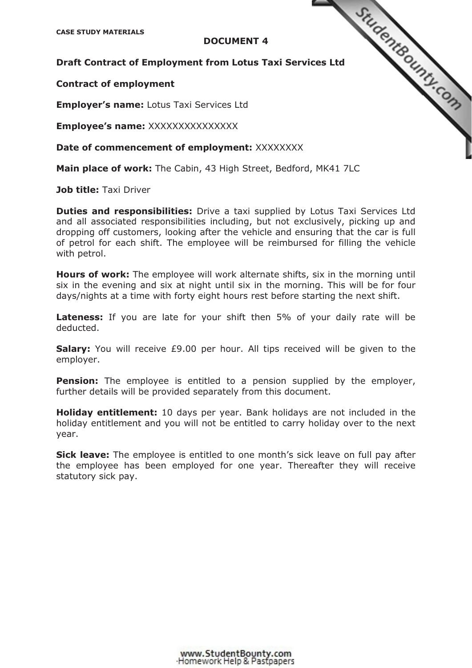# **DOCUMENT 4**

CASE STUDY MATERIALS<br>
DOCUMENT 4<br>
DRAFT CONTRACT OF Employment from Lotus Taxi Services Ltd<br>
DRAFT CONTRACT OF THE CONTRACT OF THE CONTRACT OF THE CONTRACT OF THE CONTRACT OF THE CONTRACT OF THE CONTRACT OF THE CONTRACT OF

### **Contract of employment**

**Employer's name:** Lotus Taxi Services Ltd

**Employee's name:** XXXXXXXXXXXXXXX

**Date of commencement of employment: XXXXXXXX** 

**Main place of work:** The Cabin, 43 High Street, Bedford, MK41 7LC

**Job title:** Taxi Driver

**Duties and responsibilities:** Drive a taxi supplied by Lotus Taxi Services Ltd and all associated responsibilities including, but not exclusively, picking up and dropping off customers, looking after the vehicle and ensuring that the car is full of petrol for each shift. The employee will be reimbursed for filling the vehicle with petrol.

**Hours of work:** The employee will work alternate shifts, six in the morning until six in the evening and six at night until six in the morning. This will be for four days/nights at a time with forty eight hours rest before starting the next shift.

Lateness: If you are late for your shift then 5% of your daily rate will be deducted.

**Salary:** You will receive £9.00 per hour. All tips received will be given to the employer.

**Pension:** The employee is entitled to a pension supplied by the employer, further details will be provided separately from this document.

**Holiday entitlement:** 10 days per year. Bank holidays are not included in the holiday entitlement and you will not be entitled to carry holiday over to the next year.

**Sick leave:** The employee is entitled to one month's sick leave on full pay after the employee has been employed for one year. Thereafter they will receive statutory sick pay.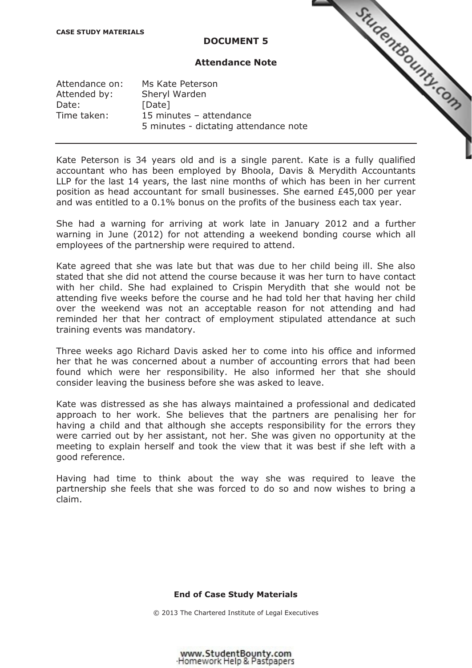### **DOCUMENT 5**

### **Attendance Note**

StudentBounty.com

| Attendance on: | Ms Kate Peterson                      |
|----------------|---------------------------------------|
| Attended by:   | Sheryl Warden                         |
| Date:          | [Date]                                |
| Time taken:    | 15 minutes - attendance               |
|                | 5 minutes - dictating attendance note |

Kate Peterson is 34 years old and is a single parent. [Kate is a fully qualified](http://www.studentbounty.com/)  accountant who has been employed by Bhoola, Davis & Merydith Accountants LLP for the last 14 years, the last nine months of which has been in her current position as head accountant for small businesses. She earned £45,000 per year and was entitled to a 0.1% bonus on the profits of the business each tax year.

She had a warning for arriving at work late in January 2012 and a further warning in June (2012) for not attending a weekend bonding course which all employees of the partnership were required to attend.

Kate agreed that she was late but that was due to her child being ill. She also stated that she did not attend the course because it was her turn to have contact with her child. She had explained to Crispin Merydith that she would not be attending five weeks before the course and he had told her that having her child over the weekend was not an acceptable reason for not attending and had reminded her that her contract of employment stipulated attendance at such training events was mandatory.

Three weeks ago Richard Davis asked her to come into his office and informed her that he was concerned about a number of accounting errors that had been found which were her responsibility. He also informed her that she should consider leaving the business before she was asked to leave.

Kate was distressed as she has always maintained a professional and dedicated approach to her work. She believes that the partners are penalising her for having a child and that although she accepts responsibility for the errors they were carried out by her assistant, not her. She was given no opportunity at the meeting to explain herself and took the view that it was best if she left with a good reference.

Having had time to think about the way she was required to leave the partnership she feels that she was forced to do so and now wishes to bring a claim.

### **End of Case Study Materials**

© 2013 The Chartered Institute of Legal Executives